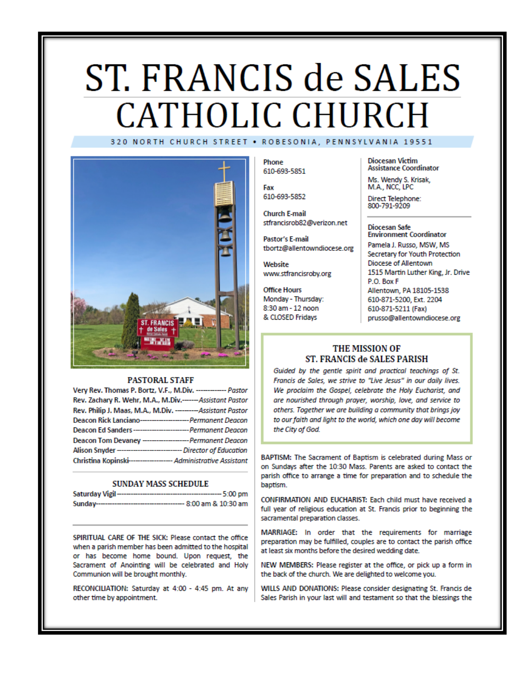# ST. FRANCIS de SALES **CATHOLIC CHURCH** 320 NORTH CHURCH STREET . ROBESONIA, PENNSYLVANIA 19551



#### **PASTORAL STAFF**

| Very Rev. Thomas P. Bortz, V.F., M.Div. ------------- Pastor        |  |
|---------------------------------------------------------------------|--|
| Rev. Zachary R. Wehr, M.A., M.Div.------Assistant Pastor            |  |
| Rev. Philip J. Maas, M.A., M.Div. --------- Assistant Pastor        |  |
| Deacon Rick Lanciano----------------------- Permanent Deacon        |  |
| Deacon Ed Sanders---------------------------- Permanent Deacon      |  |
| Deacon Tom Devaney --------------------- Permanent Deacon           |  |
| Alison Snyder ------------------------------- Director of Education |  |
| Christina Kopinski------------------- Administrative Assistant      |  |

#### **SUNDAY MASS SCHEDULE**

| Saturday Vigil-<br>------------------------ | ---- 5:00 pm           |
|---------------------------------------------|------------------------|
| Sunday--------------------------            | --- 8:00 am & 10:30 am |

SPIRITUAL CARE OF THE SICK: Please contact the office when a parish member has been admitted to the hospital or has become home bound. Upon request, the Sacrament of Anointing will be celebrated and Holy Communion will be brought monthly.

RECONCILIATION: Saturday at 4:00 - 4:45 pm. At any other time by appointment.

Phone 610-693-5851

Fax 610-693-5852

**Church E-mail** stfrancisrob82@verizon.net

Pastor's E-mail tbortz@allentowndiocese.org

Website www.stfrancisroby.org

**Office Hours** Monday - Thursday: 8:30 am - 12 noon & CLOSED Fridays

**Diocesan Victim Assistance Coordinator** 

Ms. Wendy S. Krisak, M.A., NCC, LPC

Direct Telephone:<br>800-791-9209

#### **Diocesan Safe Environment Coordinator**

Pamela J. Russo, MSW, MS Secretary for Youth Protection Diocese of Allentown 1515 Martin Luther King, Jr. Drive P.O. Box F Allentown, PA 18105-1538 610-871-5200, Ext. 2204 610-871-5211 (Fax) prusso@allentowndiocese.org

### THE MISSION OF ST. FRANCIS de SALES PARISH

Guided by the gentle spirit and practical teachings of St. Francis de Sales, we strive to "Live Jesus" in our daily lives. We proclaim the Gospel, celebrate the Holy Eucharist, and are nourished through prayer, worship, love, and service to others. Together we are building a community that brings joy to our faith and light to the world, which one day will become the City of God.

BAPTISM: The Sacrament of Baptism is celebrated during Mass or on Sundays after the 10:30 Mass. Parents are asked to contact the parish office to arrange a time for preparation and to schedule the baptism.

CONFIRMATION AND EUCHARIST: Each child must have received a full year of religious education at St. Francis prior to beginning the sacramental preparation classes.

MARRIAGE: In order that the requirements for marriage preparation may be fulfilled, couples are to contact the parish office at least six months before the desired wedding date.

NEW MEMBERS: Please register at the office, or pick up a form in the back of the church. We are delighted to welcome you.

WILLS AND DONATIONS: Please consider designating St. Francis de Sales Parish in your last will and testament so that the blessings the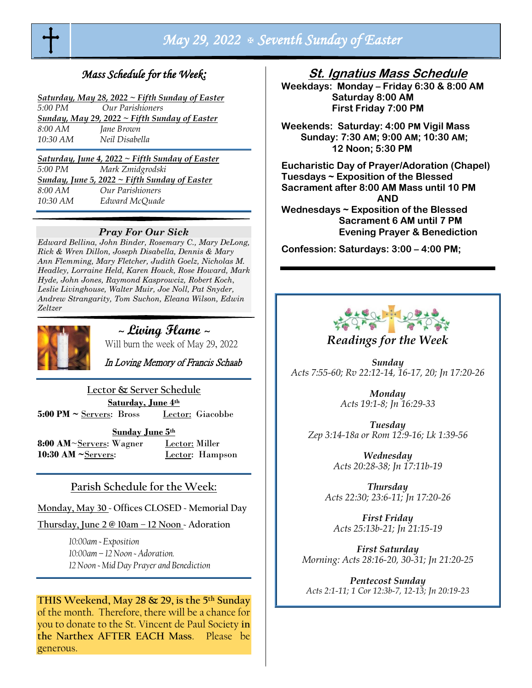

# *May 29, 2022 Seventh Sunday of Easter*

## *Mass Schedule for the Week:*

| Saturday, May 28, 2022 $\sim$ Fifth Sunday of Easter |                  |  |
|------------------------------------------------------|------------------|--|
| 5:00 PM                                              | Our Parishioners |  |
| Sunday, May 29, 2022 ~ Fifth Sunday of Easter        |                  |  |
| $8:00$ AM                                            | Jane Brown       |  |
| $10:30$ AM                                           | Neil Disabella   |  |

*Saturday, June 4, 2022 ~ Fifth Sunday of Easter 5:00 PM Mark Zmidgrodski Sunday, June 5, 2022 ~ Fifth Sunday of Easter 8:00 AM Our Parishioners 10:30 AM Edward McQuade* 

#### *Pray For Our Sick*

*Edward Bellina, John Binder, Rosemary C., Mary DeLong, Rick & Wren Dillon, Joseph Disabella, Dennis & Mary Ann Flemming, Mary Fletcher, Judith Goelz, Nicholas M. Headley, Lorraine Held, Karen Houck, Rose Howard, Mark Hyde, John Jones, Raymond Kasprowciz, Robert Koch*, *Leslie Livinghouse, Walter Muir, Joe Noll, Pat Snyder, Andrew Strangarity, Tom Suchon, Eleana Wilson, Edwin Zeltzer*



<sup>~</sup>**Living Flame** <sup>~</sup>

Will burn the week of May 29, 2022

In Loving Memory of Francis Schaab

**Lector & Server Schedule**

**Saturday, June 4th 5:00 PM ~** Servers: Bross Lector: Giacobbe

**Sunday June 5th** 

8:00 AM~Servers: Wagner Lector: Miller **10:30 AM ~Servers:** Lector: Hampson

## **Parish Schedule for the Week:**

**Monday, May 30 ~ Offices CLOSED ~ Memorial Day**

**Thursday, June 2 @ 10am – 12 Noon ~ Adoration**

*10:00am ~ Exposition 10:00am – 12 Noon ~ Adoration. 12 Noon ~ Mid Day Prayer and Benediction* 

## **THIS Weekend, May 28 & 29, is the 5th Sunday** of the month. Therefore, there will be a chance for

you to donate to the St. Vincent de Paul Society **in the Narthex AFTER EACH Mass**. Please be generous.

## **St. Ignatius Mass Schedule**

**Weekdays: Monday – Friday 6:30 & 8:00 AM Saturday 8:00 AM First Friday 7:00 PM** 

**Weekends: Saturday: 4:00 PM Vigil Mass Sunday: 7:30 AM; 9:00 AM; 10:30 AM; 12 Noon; 5:30 PM** 

**Eucharistic Day of Prayer/Adoration (Chapel) Tuesdays ~ Exposition of the Blessed Sacrament after 8:00 AM Mass until 10 PM AND Wednesdays ~ Exposition of the Blessed Sacrament 6 AM until 7 PM Evening Prayer & Benediction**

**Confession: Saturdays: 3:00 – 4:00 PM;** 



*Readings for the Week*

*Sunday Acts 7:55-60; Rv 22:12-14, 16-17, 20; Jn 17:20-26*

> *Monday Acts 19:1-8; Jn 16:29-33*

*Tuesday Zep 3:14-18a or Rom 12:9-16; Lk 1:39-56*

> *Wednesday Acts 20:28-38; Jn 17:11b-19*

*Thursday Acts 22:30; 23:6-11; Jn 17:20-26*

*First Friday Acts 25:13b-21; Jn 21:15-19*

*First Saturday Morning: Acts 28:16-20, 30-31; Jn 21:20-25*

*Pentecost Sunday Acts 2:1-11; 1 Cor 12:3b-7, 12-13; Jn 20:19-23*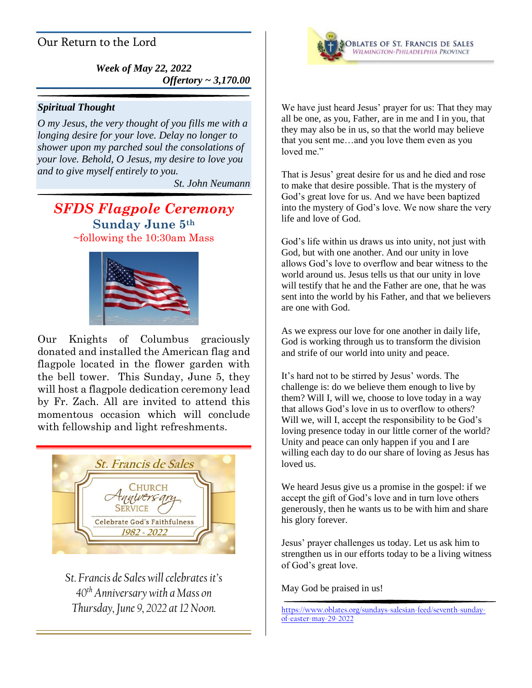## Our Return to the Lord

*Week of May 22, 2022 Offertory ~ 3,170.00*

## *Spiritual Thought*

*O my Jesus, the very thought of you fills me with a longing desire for your love. Delay no longer to shower upon my parched soul the consolations of your love. Behold, O Jesus, my desire to love you and to give myself entirely to you.*

*St. John Neumann*

## *SFDS Flagpole Ceremony* **Sunday June 5th** ~following the 10:30am Mass



Our Knights of Columbus graciously donated and installed the American flag and flagpole located in the flower garden with the bell tower. This Sunday, June 5, they will host a flagpole dedication ceremony lead by Fr. Zach. All are invited to attend this momentous occasion which will conclude with fellowship and light refreshments.



*St. Francis de Sales will celebrates it's 40th Anniversary with a Mass on Thursday, June 9, 2022 at 12 Noon.*



We have just heard Jesus' prayer for us: That they may all be one, as you, Father, are in me and I in you, that they may also be in us, so that the world may believe that you sent me…and you love them even as you loved me."

That is Jesus' great desire for us and he died and rose to make that desire possible. That is the mystery of God's great love for us. And we have been baptized into the mystery of God's love. We now share the very life and love of God.

God's life within us draws us into unity, not just with God, but with one another. And our unity in love allows God's love to overflow and bear witness to the world around us. Jesus tells us that our unity in love will testify that he and the Father are one, that he was sent into the world by his Father, and that we believers are one with God.

As we express our love for one another in daily life, God is working through us to transform the division and strife of our world into unity and peace.

It's hard not to be stirred by Jesus' words. The challenge is: do we believe them enough to live by them? Will I, will we, choose to love today in a way that allows God's love in us to overflow to others? Will we, will I, accept the responsibility to be God's loving presence today in our little corner of the world? Unity and peace can only happen if you and I are willing each day to do our share of loving as Jesus has loved us.

We heard Jesus give us a promise in the gospel: if we accept the gift of God's love and in turn love others generously, then he wants us to be with him and share his glory forever.

Jesus' prayer challenges us today. Let us ask him to strengthen us in our efforts today to be a living witness of God's great love.

May God be praised in us!

[https://www.oblates.org/sundays-salesian-feed/seventh-sunday](https://www.oblates.org/sundays-salesian-feed/seventh-sunday-of-easter-may-29-2022)[of-easter-may-29-2022](https://www.oblates.org/sundays-salesian-feed/seventh-sunday-of-easter-may-29-2022)